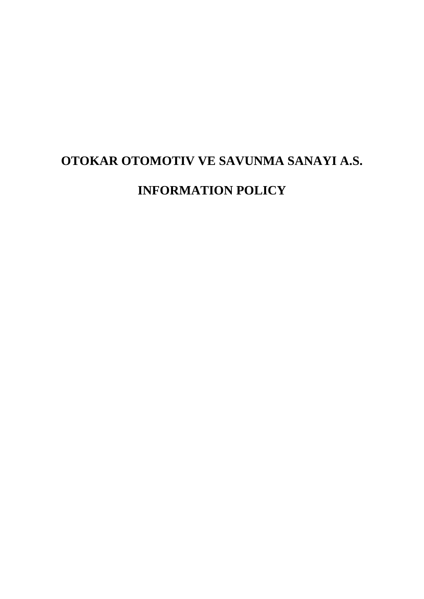# **OTOKAR OTOMOTIV VE SAVUNMA SANAYI A.S.**

# **INFORMATION POLICY**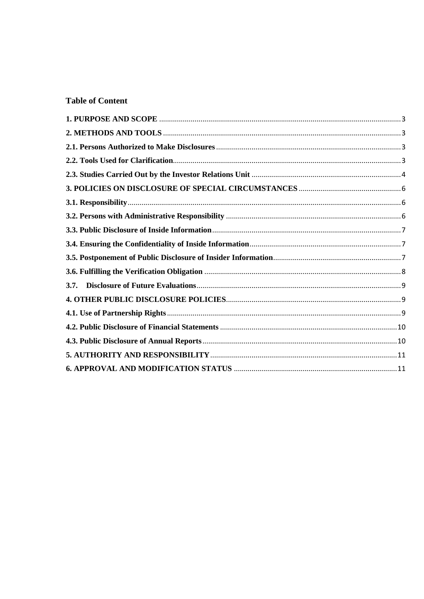## **Table of Content**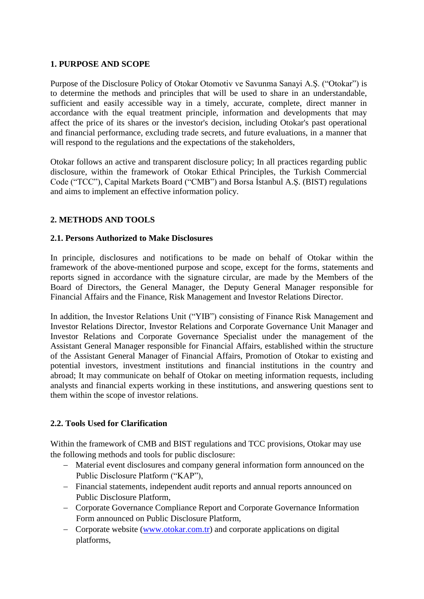#### <span id="page-2-0"></span>**1. PURPOSE AND SCOPE**

Purpose of the Disclosure Policy of Otokar Otomotiv ve Savunma Sanayi A.Ş. ("Otokar") is to determine the methods and principles that will be used to share in an understandable, sufficient and easily accessible way in a timely, accurate, complete, direct manner in accordance with the equal treatment principle, information and developments that may affect the price of its shares or the investor's decision, including Otokar's past operational and financial performance, excluding trade secrets, and future evaluations, in a manner that will respond to the regulations and the expectations of the stakeholders,

Otokar follows an active and transparent disclosure policy; In all practices regarding public disclosure, within the framework of Otokar Ethical Principles, the Turkish Commercial Code ("TCC"), Capital Markets Board ("CMB") and Borsa İstanbul A.Ş. (BIST) regulations and aims to implement an effective information policy.

## <span id="page-2-2"></span><span id="page-2-1"></span>**2. METHODS AND TOOLS**

#### **2.1. Persons Authorized to Make Disclosures**

In principle, disclosures and notifications to be made on behalf of Otokar within the framework of the above-mentioned purpose and scope, except for the forms, statements and reports signed in accordance with the signature circular, are made by the Members of the Board of Directors, the General Manager, the Deputy General Manager responsible for Financial Affairs and the Finance, Risk Management and Investor Relations Director.

In addition, the Investor Relations Unit ("YIB") consisting of Finance Risk Management and Investor Relations Director, Investor Relations and Corporate Governance Unit Manager and Investor Relations and Corporate Governance Specialist under the management of the Assistant General Manager responsible for Financial Affairs, established within the structure of the Assistant General Manager of Financial Affairs, Promotion of Otokar to existing and potential investors, investment institutions and financial institutions in the country and abroad; It may communicate on behalf of Otokar on meeting information requests, including analysts and financial experts working in these institutions, and answering questions sent to them within the scope of investor relations.

## <span id="page-2-3"></span>**2.2. Tools Used for Clarification**

Within the framework of CMB and BIST regulations and TCC provisions, Otokar may use the following methods and tools for public disclosure:

- Material event disclosures and company general information form announced on the Public Disclosure Platform ("KAP"),
- Financial statements, independent audit reports and annual reports announced on Public Disclosure Platform,
- Corporate Governance Compliance Report and Corporate Governance Information Form announced on Public Disclosure Platform,
- Corporate website [\(www.otokar.com.tr\)](http://www.otokar.com.tr/) and corporate applications on digital platforms,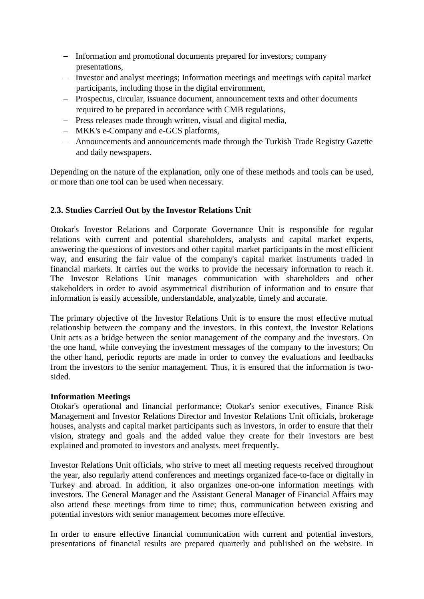- Information and promotional documents prepared for investors; company presentations,
- Investor and analyst meetings; Information meetings and meetings with capital market participants, including those in the digital environment,
- Prospectus, circular, issuance document, announcement texts and other documents required to be prepared in accordance with CMB regulations,
- Press releases made through written, visual and digital media,
- MKK's e-Company and e-GCS platforms,
- Announcements and announcements made through the Turkish Trade Registry Gazette and daily newspapers.

Depending on the nature of the explanation, only one of these methods and tools can be used, or more than one tool can be used when necessary.

#### <span id="page-3-0"></span>**2.3. Studies Carried Out by the Investor Relations Unit**

Otokar's Investor Relations and Corporate Governance Unit is responsible for regular relations with current and potential shareholders, analysts and capital market experts, answering the questions of investors and other capital market participants in the most efficient way, and ensuring the fair value of the company's capital market instruments traded in financial markets. It carries out the works to provide the necessary information to reach it. The Investor Relations Unit manages communication with shareholders and other stakeholders in order to avoid asymmetrical distribution of information and to ensure that information is easily accessible, understandable, analyzable, timely and accurate.

The primary objective of the Investor Relations Unit is to ensure the most effective mutual relationship between the company and the investors. In this context, the Investor Relations Unit acts as a bridge between the senior management of the company and the investors. On the one hand, while conveying the investment messages of the company to the investors; On the other hand, periodic reports are made in order to convey the evaluations and feedbacks from the investors to the senior management. Thus, it is ensured that the information is twosided.

#### **Information Meetings**

Otokar's operational and financial performance; Otokar's senior executives, Finance Risk Management and Investor Relations Director and Investor Relations Unit officials, brokerage houses, analysts and capital market participants such as investors, in order to ensure that their vision, strategy and goals and the added value they create for their investors are best explained and promoted to investors and analysts. meet frequently.

Investor Relations Unit officials, who strive to meet all meeting requests received throughout the year, also regularly attend conferences and meetings organized face-to-face or digitally in Turkey and abroad. In addition, it also organizes one-on-one information meetings with investors. The General Manager and the Assistant General Manager of Financial Affairs may also attend these meetings from time to time; thus, communication between existing and potential investors with senior management becomes more effective.

In order to ensure effective financial communication with current and potential investors, presentations of financial results are prepared quarterly and published on the website. In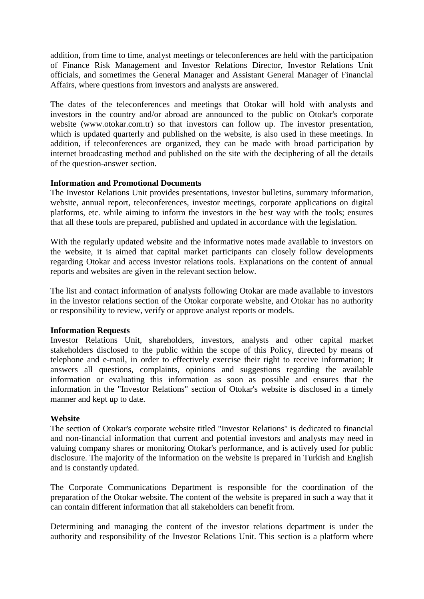addition, from time to time, analyst meetings or teleconferences are held with the participation of Finance Risk Management and Investor Relations Director, Investor Relations Unit officials, and sometimes the General Manager and Assistant General Manager of Financial Affairs, where questions from investors and analysts are answered.

The dates of the teleconferences and meetings that Otokar will hold with analysts and investors in the country and/or abroad are announced to the public on Otokar's corporate website (www.otokar.com.tr) so that investors can follow up. The investor presentation, which is updated quarterly and published on the website, is also used in these meetings. In addition, if teleconferences are organized, they can be made with broad participation by internet broadcasting method and published on the site with the deciphering of all the details of the question-answer section.

#### **Information and Promotional Documents**

The Investor Relations Unit provides presentations, investor bulletins, summary information, website, annual report, teleconferences, investor meetings, corporate applications on digital platforms, etc. while aiming to inform the investors in the best way with the tools; ensures that all these tools are prepared, published and updated in accordance with the legislation.

With the regularly updated website and the informative notes made available to investors on the website, it is aimed that capital market participants can closely follow developments regarding Otokar and access investor relations tools. Explanations on the content of annual reports and websites are given in the relevant section below.

The list and contact information of analysts following Otokar are made available to investors in the investor relations section of the Otokar corporate website, and Otokar has no authority or responsibility to review, verify or approve analyst reports or models.

#### **Information Requests**

Investor Relations Unit, shareholders, investors, analysts and other capital market stakeholders disclosed to the public within the scope of this Policy, directed by means of telephone and e-mail, in order to effectively exercise their right to receive information; It answers all questions, complaints, opinions and suggestions regarding the available information or evaluating this information as soon as possible and ensures that the information in the "Investor Relations" section of Otokar's website is disclosed in a timely manner and kept up to date.

#### **Website**

The section of Otokar's corporate website titled "Investor Relations" is dedicated to financial and non-financial information that current and potential investors and analysts may need in valuing company shares or monitoring Otokar's performance, and is actively used for public disclosure. The majority of the information on the website is prepared in Turkish and English and is constantly updated.

The Corporate Communications Department is responsible for the coordination of the preparation of the Otokar website. The content of the website is prepared in such a way that it can contain different information that all stakeholders can benefit from.

Determining and managing the content of the investor relations department is under the authority and responsibility of the Investor Relations Unit. This section is a platform where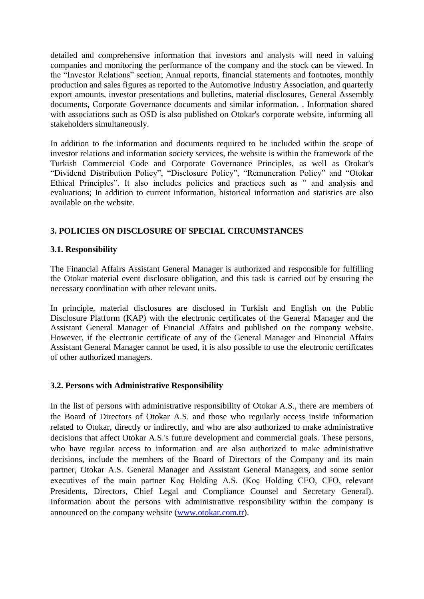detailed and comprehensive information that investors and analysts will need in valuing companies and monitoring the performance of the company and the stock can be viewed. In the "Investor Relations" section; Annual reports, financial statements and footnotes, monthly production and sales figures as reported to the Automotive Industry Association, and quarterly export amounts, investor presentations and bulletins, material disclosures, General Assembly documents, Corporate Governance documents and similar information. . Information shared with associations such as OSD is also published on Otokar's corporate website, informing all stakeholders simultaneously.

In addition to the information and documents required to be included within the scope of investor relations and information society services, the website is within the framework of the Turkish Commercial Code and Corporate Governance Principles, as well as Otokar's "Dividend Distribution Policy", "Disclosure Policy", "Remuneration Policy" and "Otokar Ethical Principles". It also includes policies and practices such as " and analysis and evaluations; In addition to current information, historical information and statistics are also available on the website.

## <span id="page-5-0"></span>**3. POLICIES ON DISCLOSURE OF SPECIAL CIRCUMSTANCES**

## <span id="page-5-1"></span>**3.1. Responsibility**

The Financial Affairs Assistant General Manager is authorized and responsible for fulfilling the Otokar material event disclosure obligation, and this task is carried out by ensuring the necessary coordination with other relevant units.

In principle, material disclosures are disclosed in Turkish and English on the Public Disclosure Platform (KAP) with the electronic certificates of the General Manager and the Assistant General Manager of Financial Affairs and published on the company website. However, if the electronic certificate of any of the General Manager and Financial Affairs Assistant General Manager cannot be used, it is also possible to use the electronic certificates of other authorized managers.

## <span id="page-5-2"></span>**3.2. Persons with Administrative Responsibility**

In the list of persons with administrative responsibility of Otokar A.S., there are members of the Board of Directors of Otokar A.S. and those who regularly access inside information related to Otokar, directly or indirectly, and who are also authorized to make administrative decisions that affect Otokar A.S.'s future development and commercial goals. These persons, who have regular access to information and are also authorized to make administrative decisions, include the members of the Board of Directors of the Company and its main partner, Otokar A.S. General Manager and Assistant General Managers, and some senior executives of the main partner Koç Holding A.S. (Koç Holding CEO, CFO, relevant Presidents, Directors, Chief Legal and Compliance Counsel and Secretary General). Information about the persons with administrative responsibility within the company is announced on the company website [\(www.otokar.com.tr\)](http://www.otokar.com.tr/).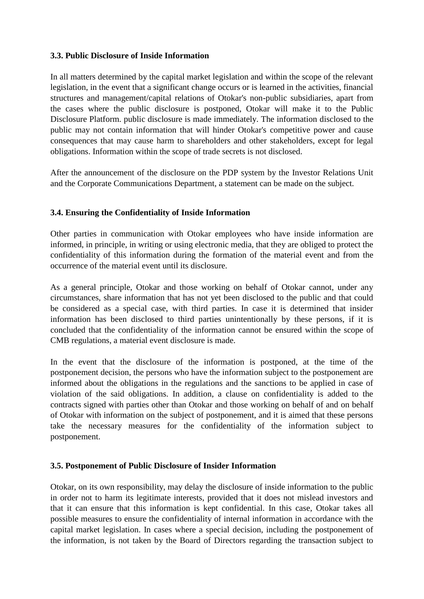#### <span id="page-6-0"></span>**3.3. Public Disclosure of Inside Information**

In all matters determined by the capital market legislation and within the scope of the relevant legislation, in the event that a significant change occurs or is learned in the activities, financial structures and management/capital relations of Otokar's non-public subsidiaries, apart from the cases where the public disclosure is postponed, Otokar will make it to the Public Disclosure Platform. public disclosure is made immediately. The information disclosed to the public may not contain information that will hinder Otokar's competitive power and cause consequences that may cause harm to shareholders and other stakeholders, except for legal obligations. Information within the scope of trade secrets is not disclosed.

After the announcement of the disclosure on the PDP system by the Investor Relations Unit and the Corporate Communications Department, a statement can be made on the subject.

## <span id="page-6-1"></span>**3.4. Ensuring the Confidentiality of Inside Information**

Other parties in communication with Otokar employees who have inside information are informed, in principle, in writing or using electronic media, that they are obliged to protect the confidentiality of this information during the formation of the material event and from the occurrence of the material event until its disclosure.

As a general principle, Otokar and those working on behalf of Otokar cannot, under any circumstances, share information that has not yet been disclosed to the public and that could be considered as a special case, with third parties. In case it is determined that insider information has been disclosed to third parties unintentionally by these persons, if it is concluded that the confidentiality of the information cannot be ensured within the scope of CMB regulations, a material event disclosure is made.

In the event that the disclosure of the information is postponed, at the time of the postponement decision, the persons who have the information subject to the postponement are informed about the obligations in the regulations and the sanctions to be applied in case of violation of the said obligations. In addition, a clause on confidentiality is added to the contracts signed with parties other than Otokar and those working on behalf of and on behalf of Otokar with information on the subject of postponement, and it is aimed that these persons take the necessary measures for the confidentiality of the information subject to postponement.

#### <span id="page-6-2"></span>**3.5. Postponement of Public Disclosure of Insider Information**

Otokar, on its own responsibility, may delay the disclosure of inside information to the public in order not to harm its legitimate interests, provided that it does not mislead investors and that it can ensure that this information is kept confidential. In this case, Otokar takes all possible measures to ensure the confidentiality of internal information in accordance with the capital market legislation. In cases where a special decision, including the postponement of the information, is not taken by the Board of Directors regarding the transaction subject to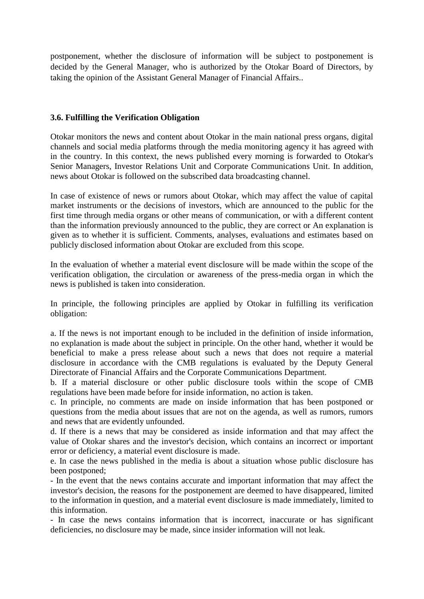postponement, whether the disclosure of information will be subject to postponement is decided by the General Manager, who is authorized by the Otokar Board of Directors, by taking the opinion of the Assistant General Manager of Financial Affairs..

#### <span id="page-7-0"></span>**3.6. Fulfilling the Verification Obligation**

Otokar monitors the news and content about Otokar in the main national press organs, digital channels and social media platforms through the media monitoring agency it has agreed with in the country. In this context, the news published every morning is forwarded to Otokar's Senior Managers, Investor Relations Unit and Corporate Communications Unit. In addition, news about Otokar is followed on the subscribed data broadcasting channel.

In case of existence of news or rumors about Otokar, which may affect the value of capital market instruments or the decisions of investors, which are announced to the public for the first time through media organs or other means of communication, or with a different content than the information previously announced to the public, they are correct or An explanation is given as to whether it is sufficient. Comments, analyses, evaluations and estimates based on publicly disclosed information about Otokar are excluded from this scope.

In the evaluation of whether a material event disclosure will be made within the scope of the verification obligation, the circulation or awareness of the press-media organ in which the news is published is taken into consideration.

In principle, the following principles are applied by Otokar in fulfilling its verification obligation:

a. If the news is not important enough to be included in the definition of inside information, no explanation is made about the subject in principle. On the other hand, whether it would be beneficial to make a press release about such a news that does not require a material disclosure in accordance with the CMB regulations is evaluated by the Deputy General Directorate of Financial Affairs and the Corporate Communications Department.

b. If a material disclosure or other public disclosure tools within the scope of CMB regulations have been made before for inside information, no action is taken.

c. In principle, no comments are made on inside information that has been postponed or questions from the media about issues that are not on the agenda, as well as rumors, rumors and news that are evidently unfounded.

d. If there is a news that may be considered as inside information and that may affect the value of Otokar shares and the investor's decision, which contains an incorrect or important error or deficiency, a material event disclosure is made.

e. In case the news published in the media is about a situation whose public disclosure has been postponed;

- In the event that the news contains accurate and important information that may affect the investor's decision, the reasons for the postponement are deemed to have disappeared, limited to the information in question, and a material event disclosure is made immediately, limited to this information.

- In case the news contains information that is incorrect, inaccurate or has significant deficiencies, no disclosure may be made, since insider information will not leak.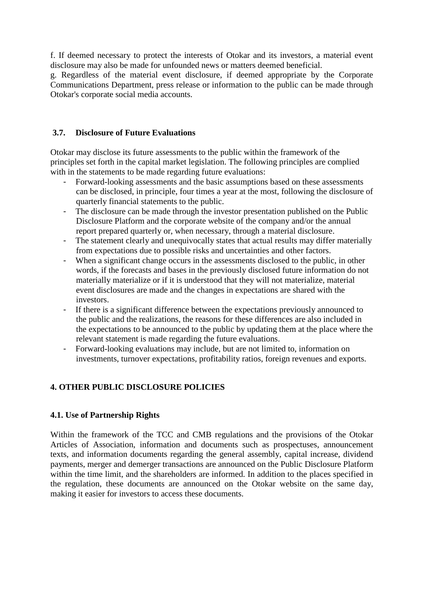f. If deemed necessary to protect the interests of Otokar and its investors, a material event disclosure may also be made for unfounded news or matters deemed beneficial.

g. Regardless of the material event disclosure, if deemed appropriate by the Corporate Communications Department, press release or information to the public can be made through Otokar's corporate social media accounts.

## <span id="page-8-0"></span>**3.7. Disclosure of Future Evaluations**

Otokar may disclose its future assessments to the public within the framework of the principles set forth in the capital market legislation. The following principles are complied with in the statements to be made regarding future evaluations:

- Forward-looking assessments and the basic assumptions based on these assessments can be disclosed, in principle, four times a year at the most, following the disclosure of quarterly financial statements to the public.
- The disclosure can be made through the investor presentation published on the Public Disclosure Platform and the corporate website of the company and/or the annual report prepared quarterly or, when necessary, through a material disclosure.
- The statement clearly and unequivocally states that actual results may differ materially from expectations due to possible risks and uncertainties and other factors.
- When a significant change occurs in the assessments disclosed to the public, in other words, if the forecasts and bases in the previously disclosed future information do not materially materialize or if it is understood that they will not materialize, material event disclosures are made and the changes in expectations are shared with the investors.
- If there is a significant difference between the expectations previously announced to the public and the realizations, the reasons for these differences are also included in the expectations to be announced to the public by updating them at the place where the relevant statement is made regarding the future evaluations.
- Forward-looking evaluations may include, but are not limited to, information on investments, turnover expectations, profitability ratios, foreign revenues and exports.

## <span id="page-8-1"></span>**4. OTHER PUBLIC DISCLOSURE POLICIES**

## <span id="page-8-2"></span>**4.1. Use of Partnership Rights**

Within the framework of the TCC and CMB regulations and the provisions of the Otokar Articles of Association, information and documents such as prospectuses, announcement texts, and information documents regarding the general assembly, capital increase, dividend payments, merger and demerger transactions are announced on the Public Disclosure Platform within the time limit, and the shareholders are informed. In addition to the places specified in the regulation, these documents are announced on the Otokar website on the same day, making it easier for investors to access these documents.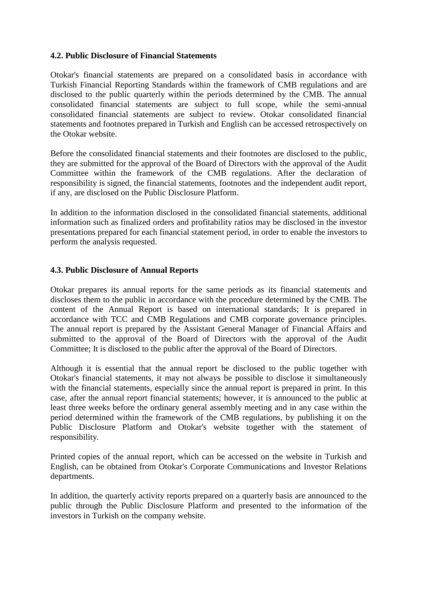#### <span id="page-9-0"></span>**4.2. Public Disclosure of Financial Statements**

Otokar's financial statements are prepared on a consolidated basis in accordance with Turkish Financial Reporting Standards within the framework of CMB regulations and are disclosed to the public quarterly within the periods determined by the CMB. The annual consolidated financial statements are subject to full scope, while the semi-annual consolidated financial statements are subject to review. Otokar consolidated financial statements and footnotes prepared in Turkish and English can be accessed retrospectively on the Otokar website.

Before the consolidated financial statements and their footnotes are disclosed to the public, they are submitted for the approval of the Board of Directors with the approval of the Audit Committee within the framework of the CMB regulations. After the declaration of responsibility is signed, the financial statements, footnotes and the independent audit report, if any, are disclosed on the Public Disclosure Platform.

In addition to the information disclosed in the consolidated financial statements, additional information such as finalized orders and profitability ratios may be disclosed in the investor presentations prepared for each financial statement period, in order to enable the investors to perform the analysis requested.

#### <span id="page-9-1"></span>**4.3. Public Disclosure of Annual Reports**

Otokar prepares its annual reports for the same periods as its financial statements and discloses them to the public in accordance with the procedure determined by the CMB. The content of the Annual Report is based on international standards; It is prepared in accordance with TCC and CMB Regulations and CMB corporate governance principles. The annual report is prepared by the Assistant General Manager of Financial Affairs and submitted to the approval of the Board of Directors with the approval of the Audit Committee; It is disclosed to the public after the approval of the Board of Directors.

Although it is essential that the annual report be disclosed to the public together with Otokar's financial statements, it may not always be possible to disclose it simultaneously with the financial statements, especially since the annual report is prepared in print. In this case, after the annual report financial statements; however, it is announced to the public at least three weeks before the ordinary general assembly meeting and in any case within the period determined within the framework of the CMB regulations, by publishing it on the Public Disclosure Platform and Otokar's website together with the statement of responsibility.

Printed copies of the annual report, which can be accessed on the website in Turkish and English, can be obtained from Otokar's Corporate Communications and Investor Relations departments.

In addition, the quarterly activity reports prepared on a quarterly basis are announced to the public through the Public Disclosure Platform and presented to the information of the investors in Turkish on the company website.